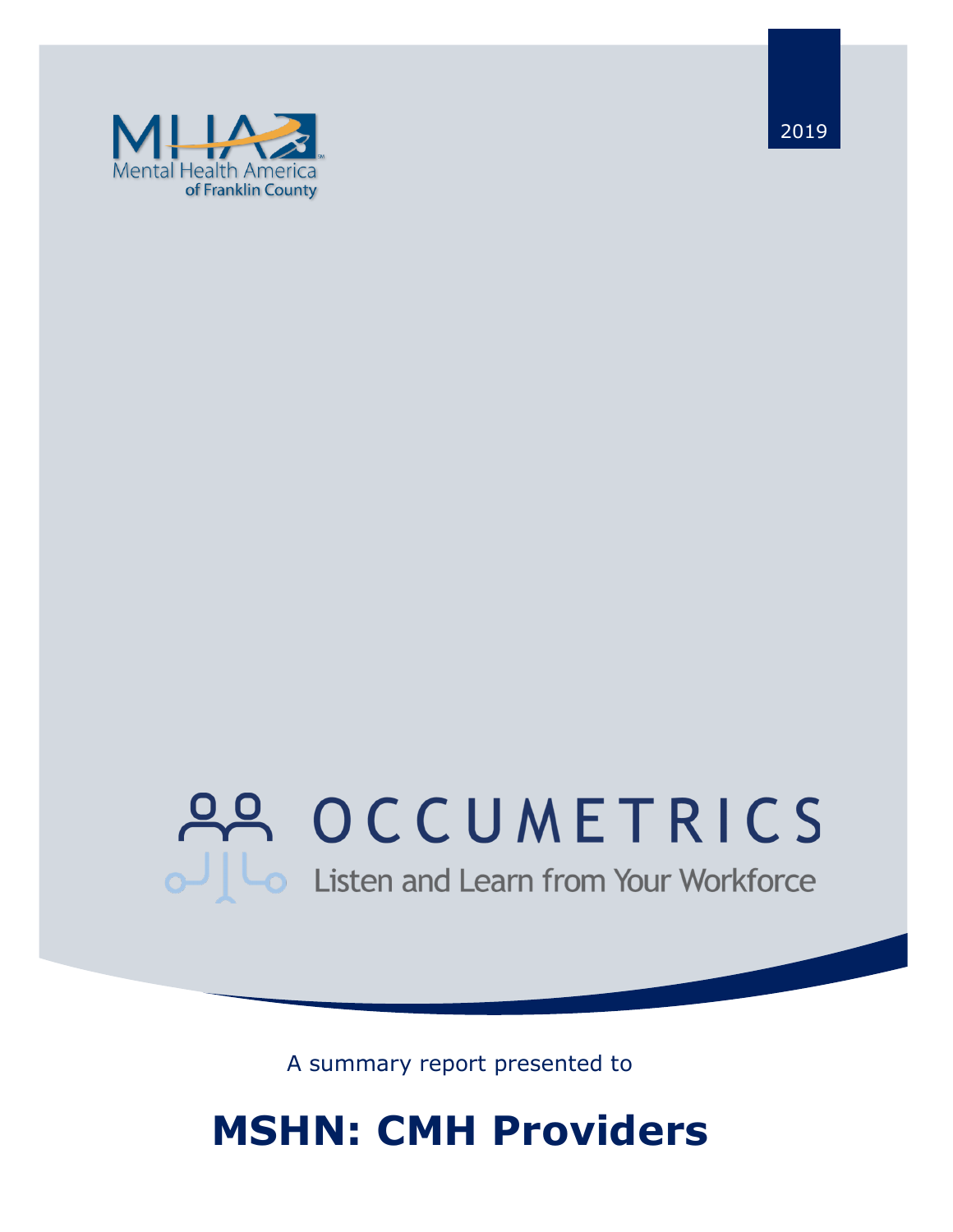

2019

# 22 OCCUMETRICS Listen and Learn from Your Workforce

A summary report presented to

## **MSHN: CMH Providers**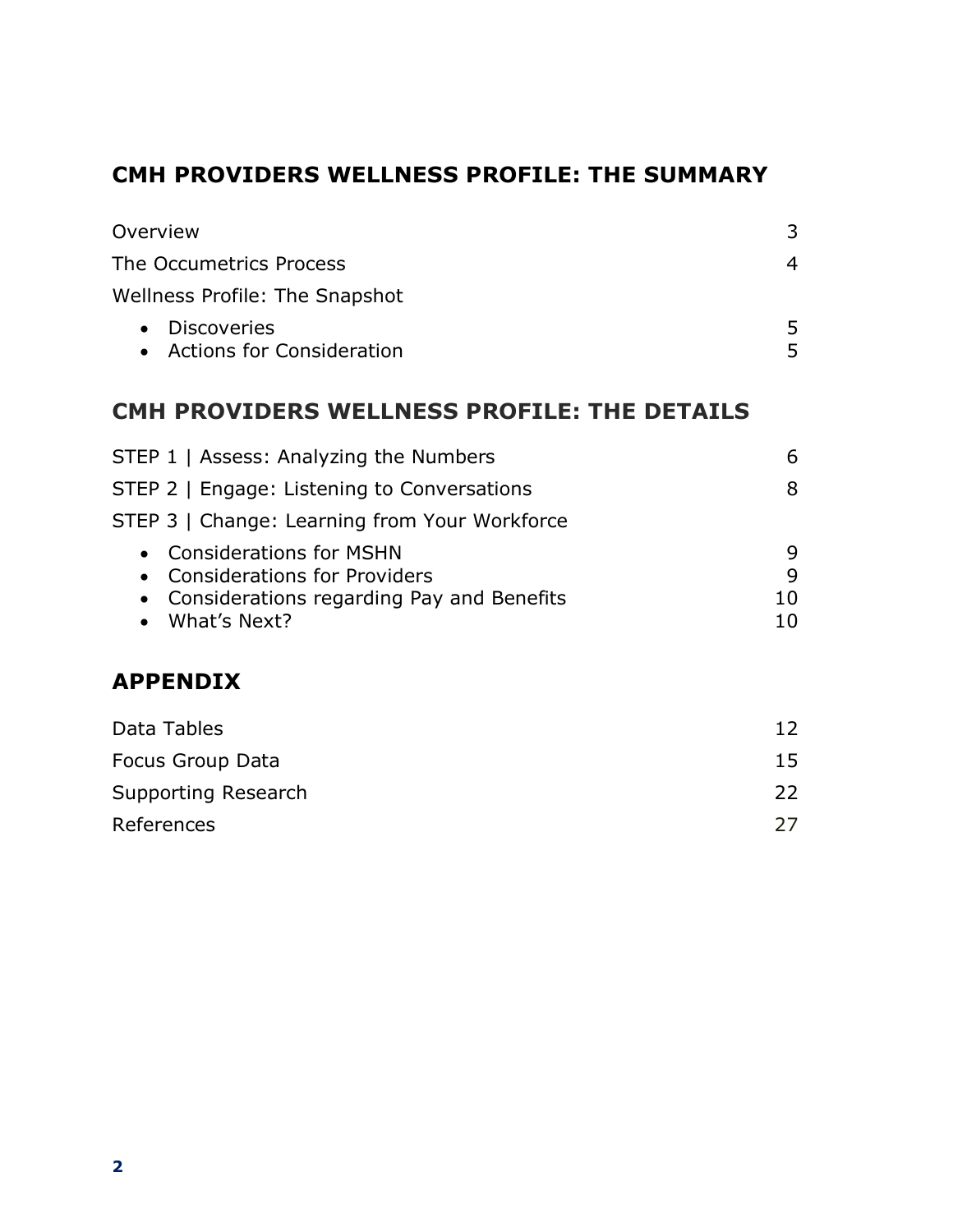### **CMH PROVIDERS WELLNESS PROFILE: THE SUMMARY**

| Overview                                                                                                                           | 3                  |
|------------------------------------------------------------------------------------------------------------------------------------|--------------------|
| The Occumetrics Process                                                                                                            | 4                  |
| <b>Wellness Profile: The Snapshot</b>                                                                                              |                    |
| <b>Discoveries</b><br>$\bullet$<br>• Actions for Consideration                                                                     | 5<br>5             |
| CMH PROVIDERS WELLNESS PROFILE: THE DETAILS                                                                                        |                    |
| STEP 1   Assess: Analyzing the Numbers                                                                                             | 6                  |
| STEP 2   Engage: Listening to Conversations                                                                                        | 8                  |
| STEP 3   Change: Learning from Your Workforce                                                                                      |                    |
| <b>Considerations for MSHN</b><br><b>Considerations for Providers</b><br>Considerations regarding Pay and Benefits<br>What's Next? | 9<br>9<br>10<br>10 |
| <b>APPENDIX</b>                                                                                                                    |                    |
| Data Tables                                                                                                                        | 12                 |
| Focus Group Data                                                                                                                   | 15                 |

| Supporting Research | 22 |
|---------------------|----|
| References          |    |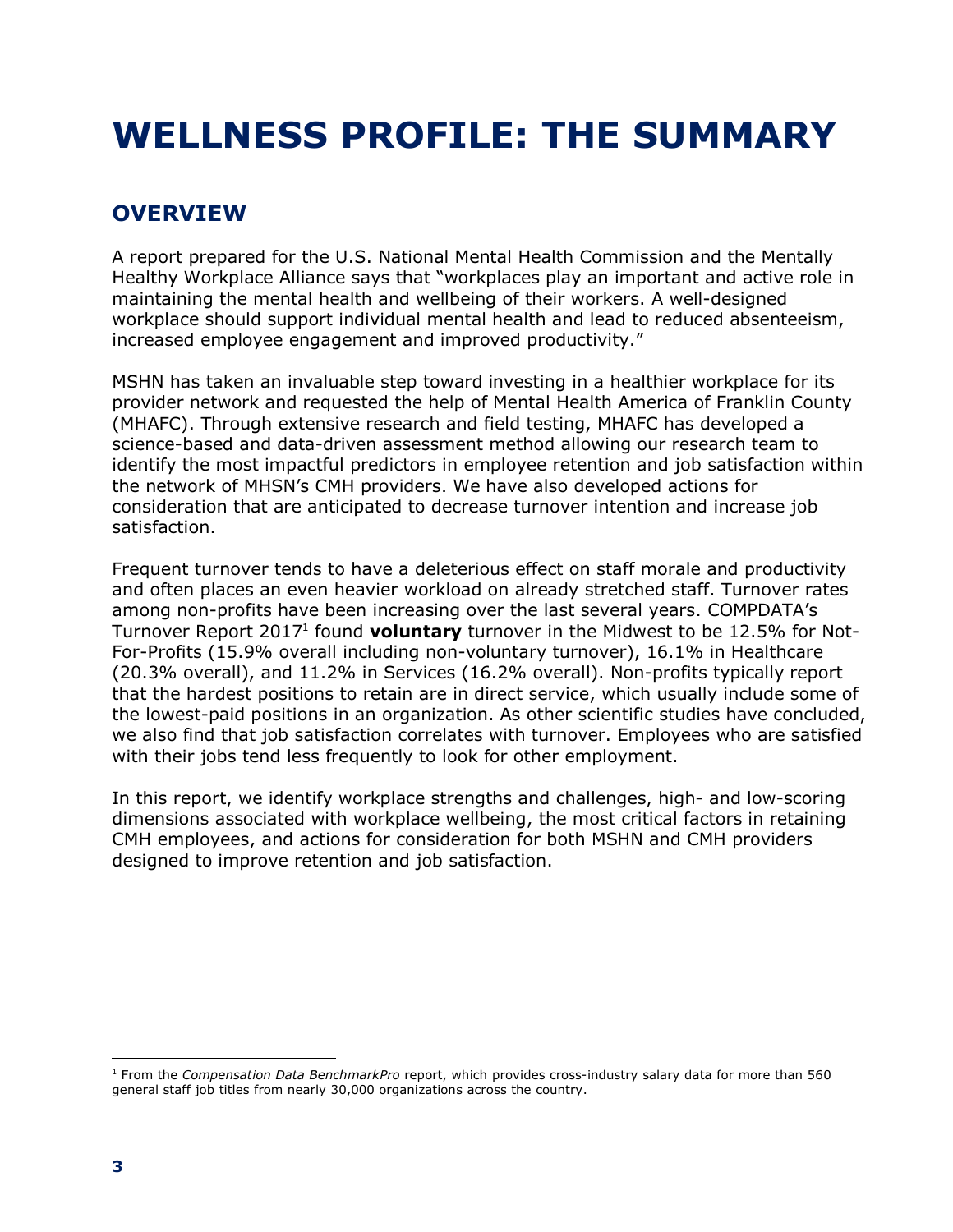## **WELLNESS PROFILE: THE SUMMARY**

## **OVERVIEW**

A report prepared for the U.S. National Mental Health Commission and the Mentally Healthy Workplace Alliance says that "workplaces play an important and active role in maintaining the mental health and wellbeing of their workers. A well-designed workplace should support individual mental health and lead to reduced absenteeism, increased employee engagement and improved productivity."

MSHN has taken an invaluable step toward investing in a healthier workplace for its provider network and requested the help of Mental Health America of Franklin County (MHAFC). Through extensive research and field testing, MHAFC has developed a science-based and data-driven assessment method allowing our research team to identify the most impactful predictors in employee retention and job satisfaction within the network of MHSN's CMH providers. We have also developed actions for consideration that are anticipated to decrease turnover intention and increase job satisfaction.

Frequent turnover tends to have a deleterious effect on staff morale and productivity and often places an even heavier workload on already stretched staff. Turnover rates among non-profits have been increasing over the last several years. COMPDATA's Turnover Report 20171 found **voluntary** turnover in the Midwest to be 12.5% for Not-For-Profits (15.9% overall including non-voluntary turnover), 16.1% in Healthcare (20.3% overall), and 11.2% in Services (16.2% overall). Non-profits typically report that the hardest positions to retain are in direct service, which usually include some of the lowest-paid positions in an organization. As other scientific studies have concluded, we also find that job satisfaction correlates with turnover. Employees who are satisfied with their jobs tend less frequently to look for other employment.

In this report, we identify workplace strengths and challenges, high- and low-scoring dimensions associated with workplace wellbeing, the most critical factors in retaining CMH employees, and actions for consideration for both MSHN and CMH providers designed to improve retention and job satisfaction.

 $\overline{a}$ <sup>1</sup> From the *Compensation Data BenchmarkPro* report, which provides cross-industry salary data for more than 560 general staff job titles from nearly 30,000 organizations across the country.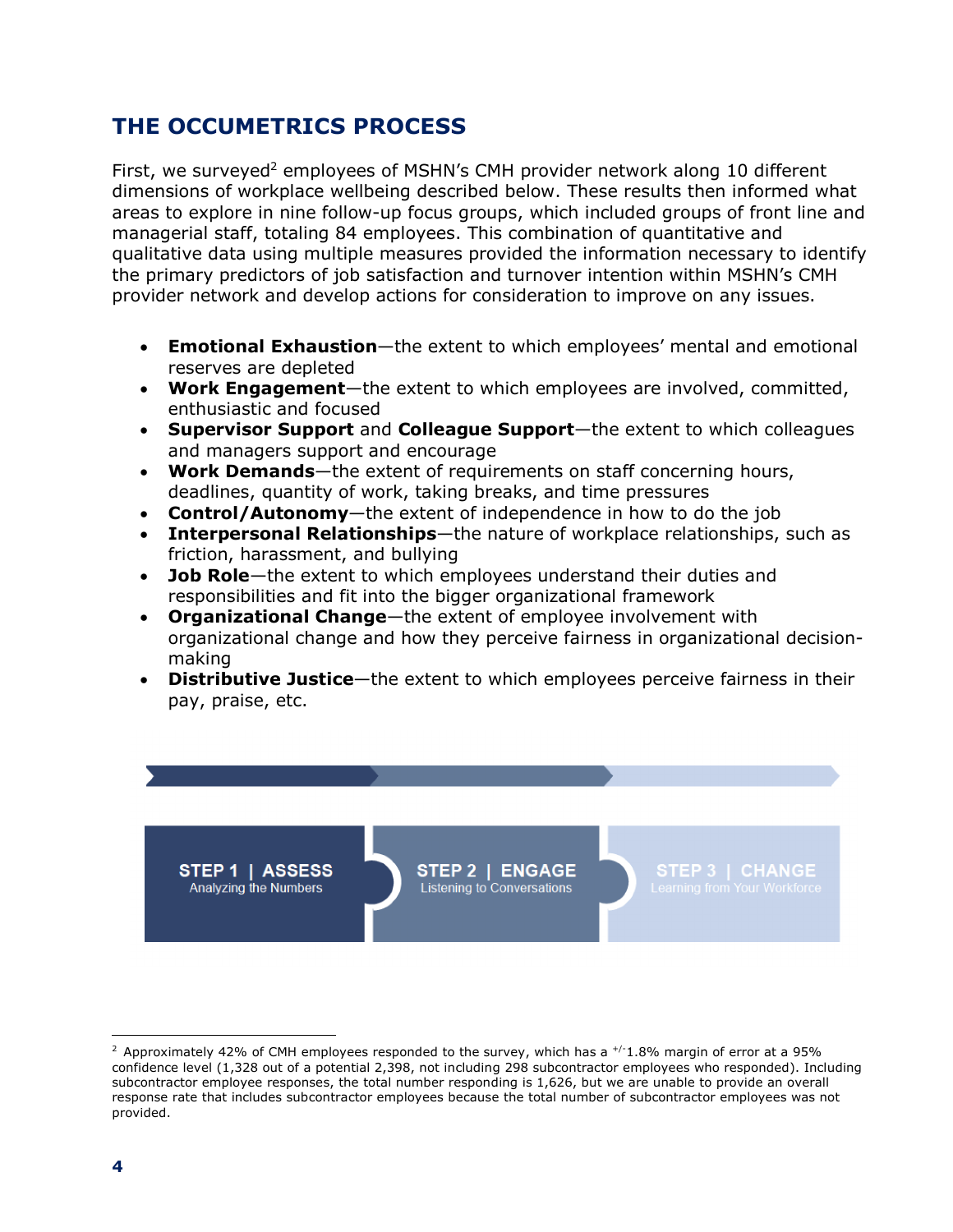### **THE OCCUMETRICS PROCESS**

First, we surveyed<sup>2</sup> employees of MSHN's CMH provider network along 10 different dimensions of workplace wellbeing described below. These results then informed what areas to explore in nine follow-up focus groups, which included groups of front line and managerial staff, totaling 84 employees. This combination of quantitative and qualitative data using multiple measures provided the information necessary to identify the primary predictors of job satisfaction and turnover intention within MSHN's CMH provider network and develop actions for consideration to improve on any issues.

- **Emotional Exhaustion**—the extent to which employees' mental and emotional reserves are depleted
- **Work Engagement**—the extent to which employees are involved, committed, enthusiastic and focused
- **Supervisor Support** and **Colleague Support**—the extent to which colleagues and managers support and encourage
- **Work Demands**—the extent of requirements on staff concerning hours, deadlines, quantity of work, taking breaks, and time pressures
- **Control/Autonomy**—the extent of independence in how to do the job
- **Interpersonal Relationships**—the nature of workplace relationships, such as friction, harassment, and bullying
- **Job Role**—the extent to which employees understand their duties and responsibilities and fit into the bigger organizational framework
- **Organizational Change**—the extent of employee involvement with organizational change and how they perceive fairness in organizational decisionmaking
- **Distributive Justice**—the extent to which employees perceive fairness in their pay, praise, etc.

STEP 2 | ENGAGE Listening to Conversations

 $\overline{a}$ 

STEP 1 | ASSESS

Analyzing the Numbers

<sup>&</sup>lt;sup>2</sup> Approximately 42% of CMH employees responded to the survey, which has a  $^{+/1}$ .8% margin of error at a 95% confidence level (1,328 out of a potential 2,398, not including 298 subcontractor employees who responded). Including subcontractor employee responses, the total number responding is 1,626, but we are unable to provide an overall response rate that includes subcontractor employees because the total number of subcontractor employees was not provided.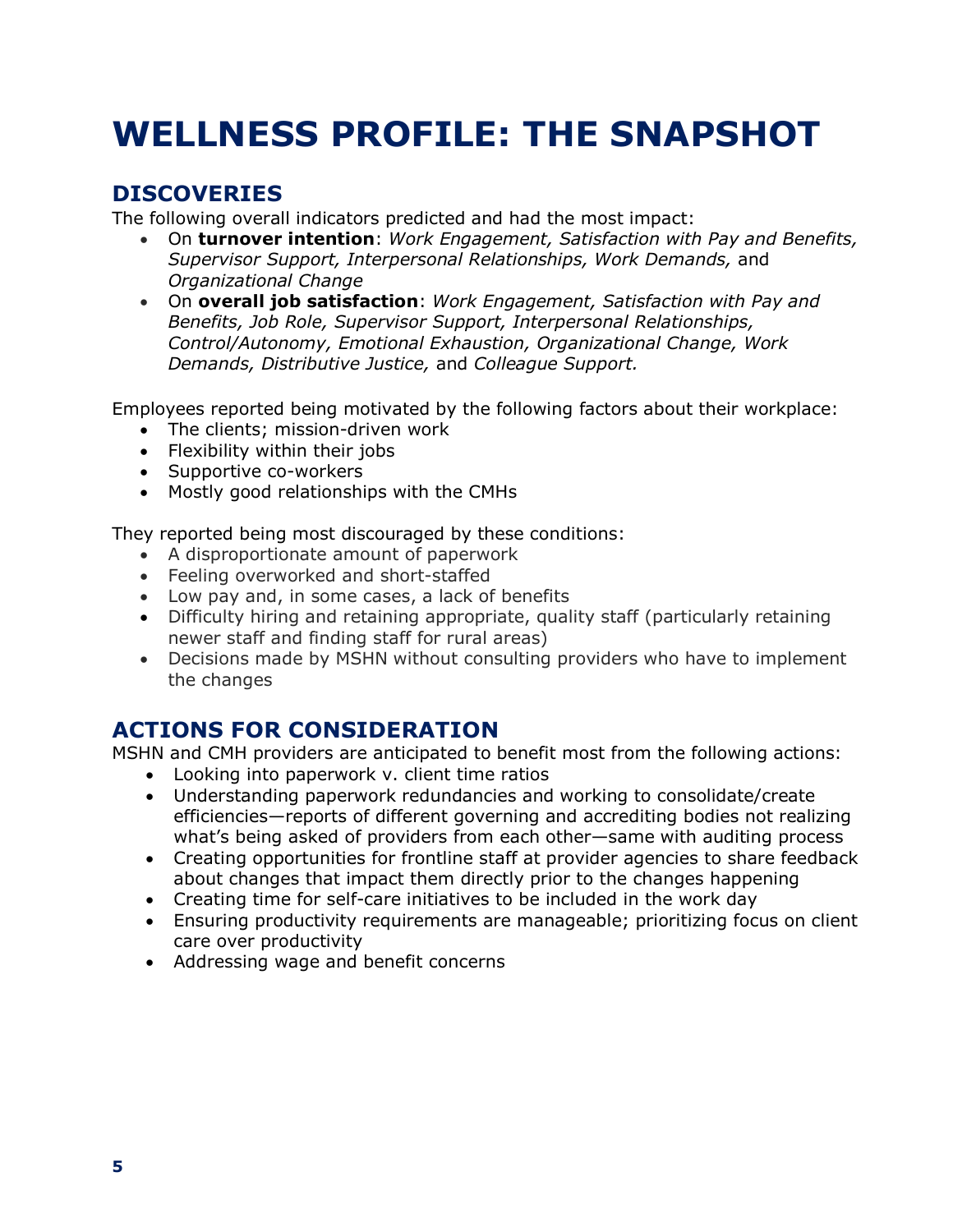## **WELLNESS PROFILE: THE SNAPSHOT**

## **DISCOVERIES**

The following overall indicators predicted and had the most impact:

- On **turnover intention**: *Work Engagement, Satisfaction with Pay and Benefits, Supervisor Support, Interpersonal Relationships, Work Demands,* and *Organizational Change*
- On **overall job satisfaction**: *Work Engagement, Satisfaction with Pay and Benefits, Job Role, Supervisor Support, Interpersonal Relationships, Control/Autonomy, Emotional Exhaustion, Organizational Change, Work Demands, Distributive Justice,* and *Colleague Support.*

Employees reported being motivated by the following factors about their workplace:

- The clients; mission-driven work
- Flexibility within their jobs
- Supportive co-workers
- Mostly good relationships with the CMHs

They reported being most discouraged by these conditions:

- A disproportionate amount of paperwork
- Feeling overworked and short-staffed
- Low pay and, in some cases, a lack of benefits
- Difficulty hiring and retaining appropriate, quality staff (particularly retaining newer staff and finding staff for rural areas)
- Decisions made by MSHN without consulting providers who have to implement the changes

## **ACTIONS FOR CONSIDERATION**

MSHN and CMH providers are anticipated to benefit most from the following actions:

- Looking into paperwork v. client time ratios
- Understanding paperwork redundancies and working to consolidate/create efficiencies—reports of different governing and accrediting bodies not realizing what's being asked of providers from each other—same with auditing process
- Creating opportunities for frontline staff at provider agencies to share feedback about changes that impact them directly prior to the changes happening
- Creating time for self-care initiatives to be included in the work day
- Ensuring productivity requirements are manageable; prioritizing focus on client care over productivity
- Addressing wage and benefit concerns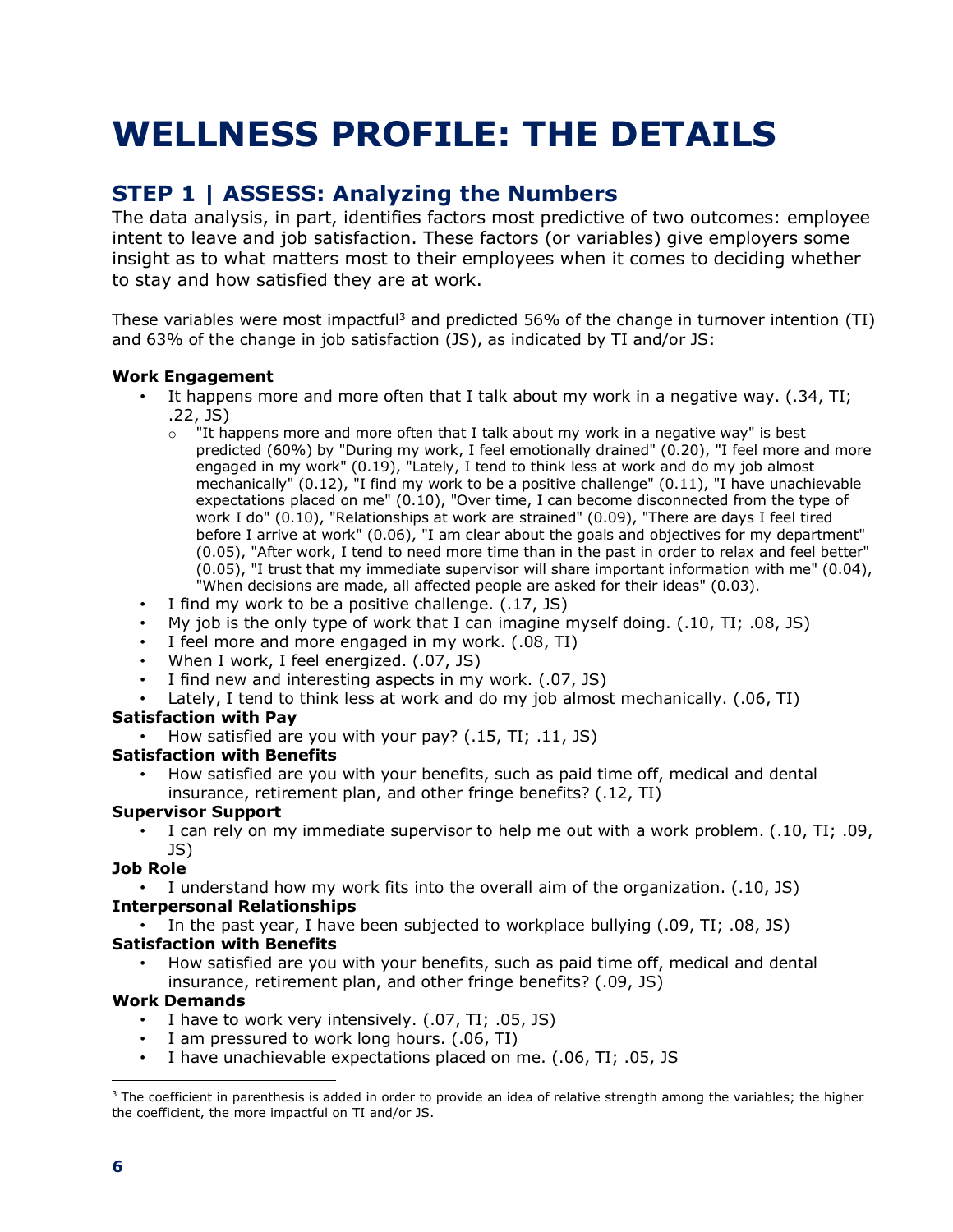## **WELLNESS PROFILE: THE DETAILS**

## **STEP 1 | ASSESS: Analyzing the Numbers**

The data analysis, in part, identifies factors most predictive of two outcomes: employee intent to leave and job satisfaction. These factors (or variables) give employers some insight as to what matters most to their employees when it comes to deciding whether to stay and how satisfied they are at work.

These variables were most impactful<sup>3</sup> and predicted 56% of the change in turnover intention (TI) and 63% of the change in job satisfaction (JS), as indicated by TI and/or JS:

#### **Work Engagement**

- It happens more and more often that I talk about my work in a negative way. (.34, TI; .22, JS)
	- $\circ$  "It happens more and more often that I talk about my work in a negative way" is best predicted (60%) by "During my work, I feel emotionally drained" (0.20), "I feel more and more engaged in my work" (0.19), "Lately, I tend to think less at work and do my job almost mechanically" (0.12), "I find my work to be a positive challenge" (0.11), "I have unachievable expectations placed on me" (0.10), "Over time, I can become disconnected from the type of work I do" (0.10), "Relationships at work are strained" (0.09), "There are days I feel tired before I arrive at work" (0.06), "I am clear about the goals and objectives for my department" (0.05), "After work, I tend to need more time than in the past in order to relax and feel better" (0.05), "I trust that my immediate supervisor will share important information with me" (0.04), "When decisions are made, all affected people are asked for their ideas" (0.03).
- I find my work to be a positive challenge. (.17, JS)
- My job is the only type of work that I can imagine myself doing. (.10, TI; .08, JS)
- I feel more and more engaged in my work. (.08, TI)
- When I work, I feel energized. (.07, JS)
- I find new and interesting aspects in my work. (.07, JS)
- Lately, I tend to think less at work and do my job almost mechanically. (.06, TI)

#### **Satisfaction with Pay**

• How satisfied are you with your pay? (.15, TI; .11, JS)

#### **Satisfaction with Benefits**

• How satisfied are you with your benefits, such as paid time off, medical and dental insurance, retirement plan, and other fringe benefits? (.12, TI)

#### **Supervisor Support**

• I can rely on my immediate supervisor to help me out with a work problem. (.10, TI; .09, JS)

#### **Job Role**

• I understand how my work fits into the overall aim of the organization. (.10, JS) **Interpersonal Relationships**

• In the past year, I have been subjected to workplace bullying (.09, TI; .08, JS)

#### **Satisfaction with Benefits**

• How satisfied are you with your benefits, such as paid time off, medical and dental insurance, retirement plan, and other fringe benefits? (.09, JS)

#### **Work Demands**

- I have to work very intensively. (.07, TI; .05, JS)
- I am pressured to work long hours. (.06, TI)
- I have unachievable expectations placed on me. (.06, TI; .05, JS

 $\overline{a}$  $3$  The coefficient in parenthesis is added in order to provide an idea of relative strength among the variables; the higher the coefficient, the more impactful on TI and/or JS.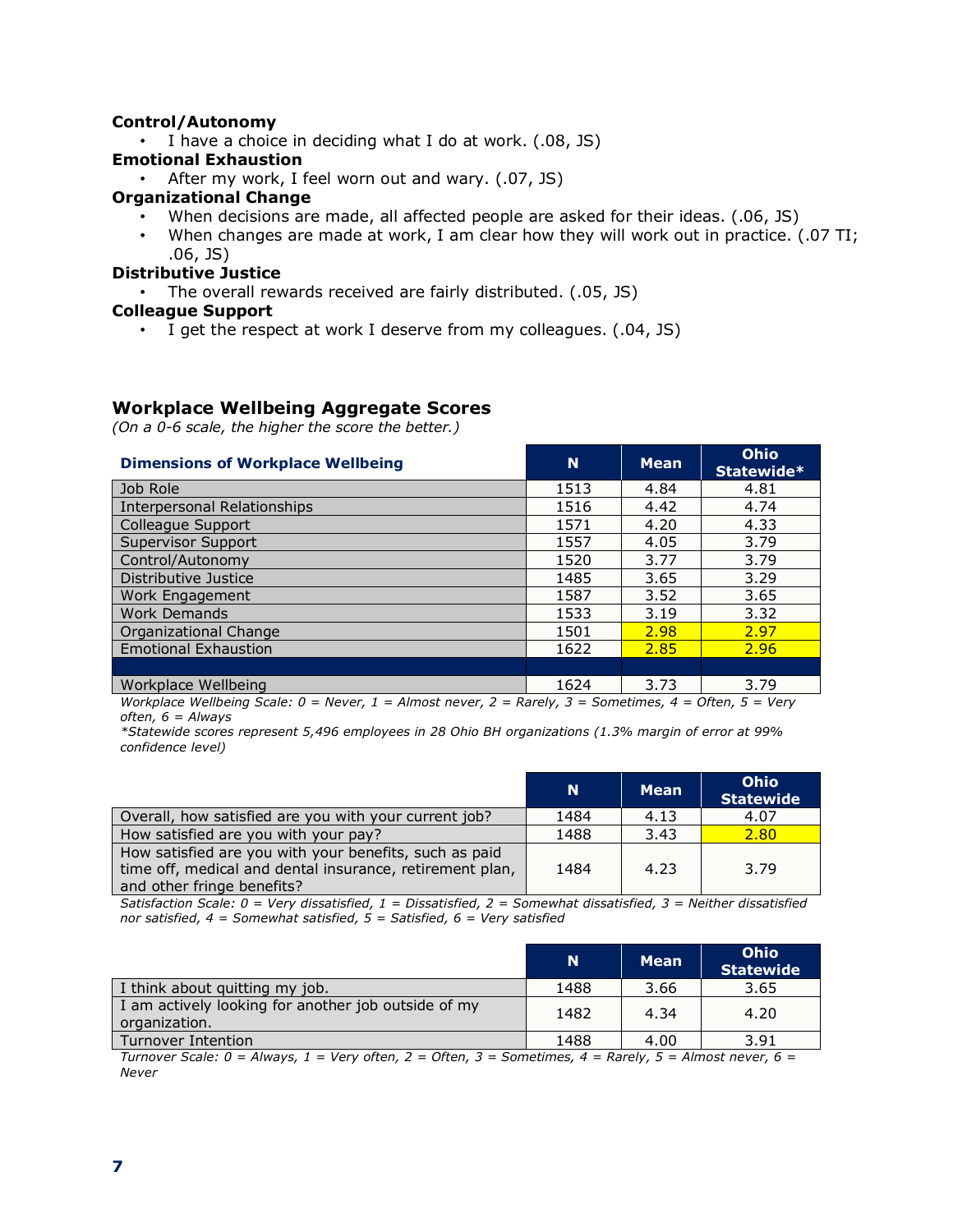#### **Control/Autonomy**

• I have a choice in deciding what I do at work. (.08, JS)

#### **Emotional Exhaustion**

• After my work, I feel worn out and wary. (.07, JS)

#### **Organizational Change**

- When decisions are made, all affected people are asked for their ideas. (.06, JS)
- When changes are made at work, I am clear how they will work out in practice. (.07 TI; .06, JS)

#### **Distributive Justice**

• The overall rewards received are fairly distributed. (.05, JS)

#### **Colleague Support**

• I get the respect at work I deserve from my colleagues. (.04, JS)

#### **Workplace Wellbeing Aggregate Scores**

*(On a 0-6 scale, the higher the score the better.)*

| <b>Dimensions of Workplace Wellbeing</b> | N    | <b>Mean</b> | Ohio<br>Statewide* |
|------------------------------------------|------|-------------|--------------------|
| Job Role                                 | 1513 | 4.84        | 4.81               |
| <b>Interpersonal Relationships</b>       | 1516 | 4.42        | 4.74               |
| Colleague Support                        | 1571 | 4.20        | 4.33               |
| <b>Supervisor Support</b>                | 1557 | 4.05        | 3.79               |
| Control/Autonomy                         | 1520 | 3.77        | 3.79               |
| Distributive Justice                     | 1485 | 3.65        | 3.29               |
| Work Engagement                          | 1587 | 3.52        | 3.65               |
| <b>Work Demands</b>                      | 1533 | 3.19        | 3.32               |
| <b>Organizational Change</b>             | 1501 | 2.98        | 2.97               |
| <b>Emotional Exhaustion</b>              | 1622 | 2.85        | 2.96               |
|                                          |      |             |                    |
| Workplace Wellbeing                      | 1624 | 3.73        | 3.79               |

*Workplace Wellbeing Scale: 0 = Never, 1 = Almost never, 2 = Rarely, 3 = Sometimes, 4 = Often, 5 = Very often, 6 = Always*

*\*Statewide scores represent 5,496 employees in 28 Ohio BH organizations (1.3% margin of error at 99% confidence level)*

|                                                                                                                                                  | <b>N</b> | <b>Mean</b> | <b>Ohio</b><br><b>Statewide</b> |
|--------------------------------------------------------------------------------------------------------------------------------------------------|----------|-------------|---------------------------------|
| Overall, how satisfied are you with your current job?                                                                                            | 1484     | 4.13        | 4.07                            |
| How satisfied are you with your pay?                                                                                                             | 1488     | 3.43        | 2.80                            |
| How satisfied are you with your benefits, such as paid<br>time off, medical and dental insurance, retirement plan,<br>and other fringe benefits? | 1484     | 4.23        | 3.79                            |

*Satisfaction Scale: 0 = Very dissatisfied, 1 = Dissatisfied, 2 = Somewhat dissatisfied, 3 = Neither dissatisfied nor satisfied, 4 = Somewhat satisfied, 5 = Satisfied, 6 = Very satisfied*

|                                                                      | N    | <b>Mean</b> | Ohio<br><b>Statewide</b> |
|----------------------------------------------------------------------|------|-------------|--------------------------|
| I think about quitting my job.                                       | 1488 | 3.66        | 3.65                     |
| I am actively looking for another job outside of my<br>organization. | 1482 | 4.34        | 4.20                     |
| Turnover Intention                                                   | 1488 | 4.00        | 3.91                     |

*Turnover Scale: 0 = Always, 1 = Very often, 2 = Often, 3 = Sometimes, 4 = Rarely, 5 = Almost never, 6 = Never*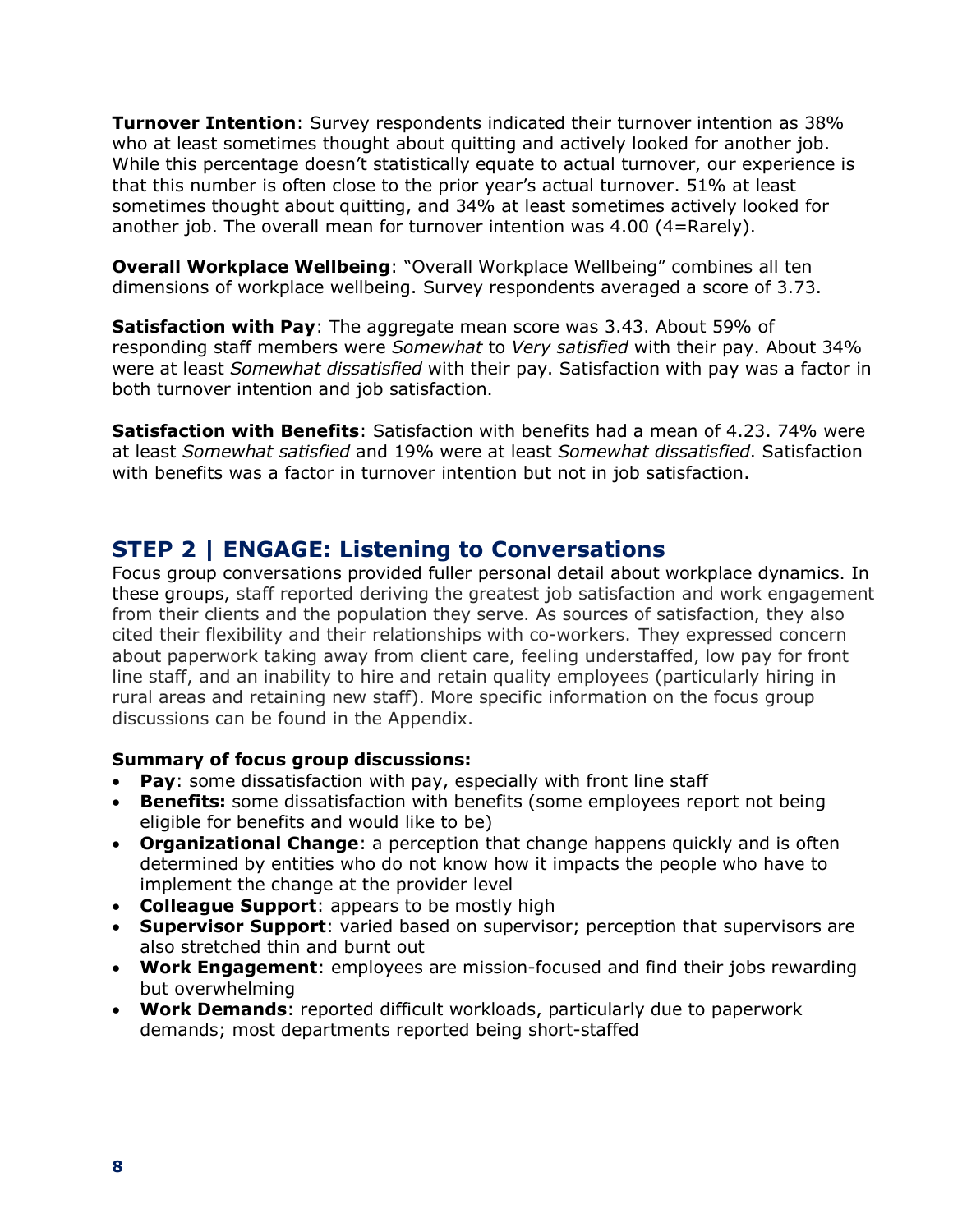**Turnover Intention**: Survey respondents indicated their turnover intention as 38% who at least sometimes thought about quitting and actively looked for another job. While this percentage doesn't statistically equate to actual turnover, our experience is that this number is often close to the prior year's actual turnover. 51% at least sometimes thought about quitting, and 34% at least sometimes actively looked for another job. The overall mean for turnover intention was 4.00 (4=Rarely).

**Overall Workplace Wellbeing**: "Overall Workplace Wellbeing" combines all ten dimensions of workplace wellbeing. Survey respondents averaged a score of 3.73.

**Satisfaction with Pay**: The aggregate mean score was 3.43. About 59% of responding staff members were *Somewhat* to *Very satisfied* with their pay. About 34% were at least *Somewhat dissatisfied* with their pay. Satisfaction with pay was a factor in both turnover intention and job satisfaction.

**Satisfaction with Benefits**: Satisfaction with benefits had a mean of 4.23. 74% were at least *Somewhat satisfied* and 19% were at least *Somewhat dissatisfied*. Satisfaction with benefits was a factor in turnover intention but not in job satisfaction.

### **STEP 2 | ENGAGE: Listening to Conversations**

Focus group conversations provided fuller personal detail about workplace dynamics. In these groups, staff reported deriving the greatest job satisfaction and work engagement from their clients and the population they serve. As sources of satisfaction, they also cited their flexibility and their relationships with co-workers. They expressed concern about paperwork taking away from client care, feeling understaffed, low pay for front line staff, and an inability to hire and retain quality employees (particularly hiring in rural areas and retaining new staff). More specific information on the focus group discussions can be found in the Appendix.

#### **Summary of focus group discussions:**

- **Pay**: some dissatisfaction with pay, especially with front line staff
- **Benefits:** some dissatisfaction with benefits (some employees report not being eligible for benefits and would like to be)
- **Organizational Change**: a perception that change happens quickly and is often determined by entities who do not know how it impacts the people who have to implement the change at the provider level
- **Colleague Support**: appears to be mostly high
- **Supervisor Support**: varied based on supervisor; perception that supervisors are also stretched thin and burnt out
- **Work Engagement**: employees are mission-focused and find their jobs rewarding but overwhelming
- **Work Demands**: reported difficult workloads, particularly due to paperwork demands; most departments reported being short-staffed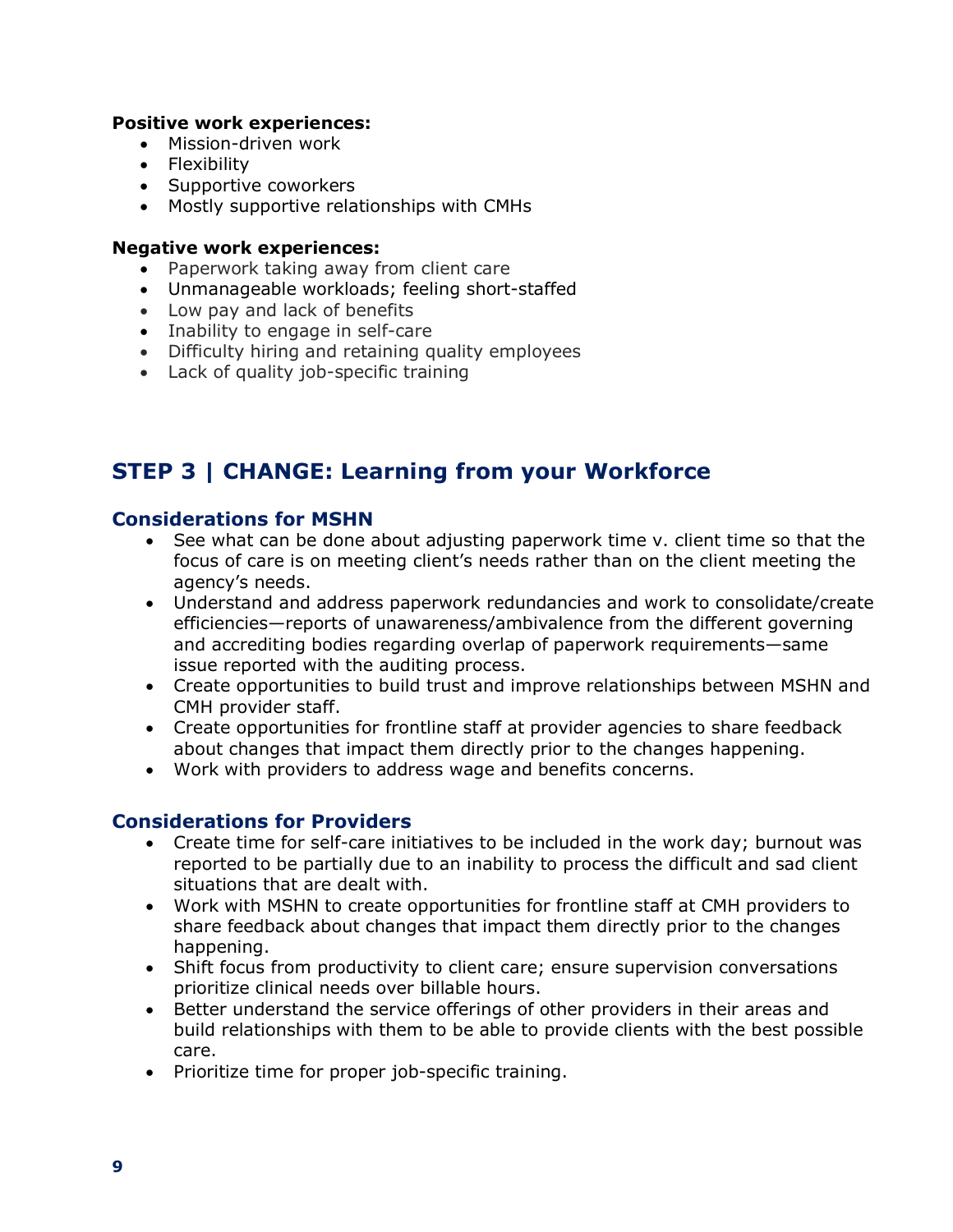#### **Positive work experiences:**

- Mission-driven work
- Flexibility
- Supportive coworkers
- Mostly supportive relationships with CMHs

#### **Negative work experiences:**

- Paperwork taking away from client care
- Unmanageable workloads; feeling short-staffed
- Low pay and lack of benefits
- Inability to engage in self-care
- Difficulty hiring and retaining quality employees
- Lack of quality job-specific training

### **STEP 3 | CHANGE: Learning from your Workforce**

#### **Considerations for MSHN**

- See what can be done about adjusting paperwork time v. client time so that the focus of care is on meeting client's needs rather than on the client meeting the agency's needs.
- Understand and address paperwork redundancies and work to consolidate/create efficiencies—reports of unawareness/ambivalence from the different governing and accrediting bodies regarding overlap of paperwork requirements—same issue reported with the auditing process.
- Create opportunities to build trust and improve relationships between MSHN and CMH provider staff.
- Create opportunities for frontline staff at provider agencies to share feedback about changes that impact them directly prior to the changes happening.
- Work with providers to address wage and benefits concerns.

#### **Considerations for Providers**

- Create time for self-care initiatives to be included in the work day; burnout was reported to be partially due to an inability to process the difficult and sad client situations that are dealt with.
- Work with MSHN to create opportunities for frontline staff at CMH providers to share feedback about changes that impact them directly prior to the changes happening.
- Shift focus from productivity to client care; ensure supervision conversations prioritize clinical needs over billable hours.
- Better understand the service offerings of other providers in their areas and build relationships with them to be able to provide clients with the best possible care.
- Prioritize time for proper job-specific training.